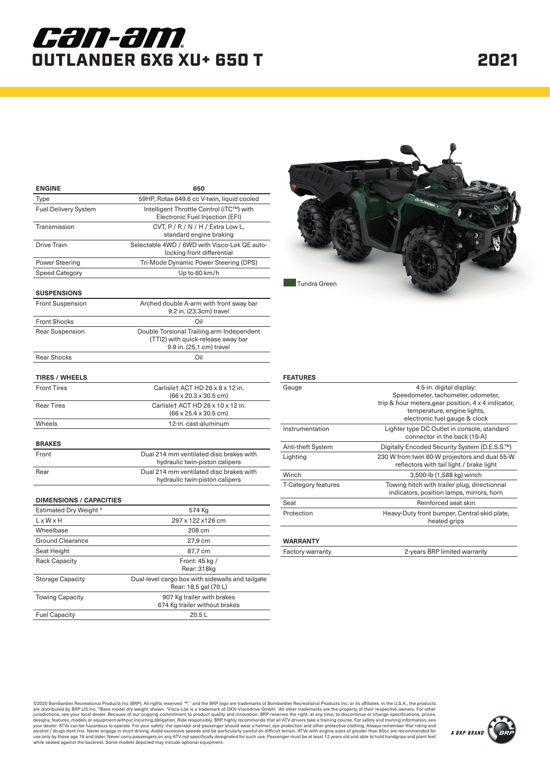# *can-am.* OUTLANDER 6X6 XU+ 650 T

| <b>ENGINE</b>                  | 650                                                                                                         |
|--------------------------------|-------------------------------------------------------------------------------------------------------------|
| Type                           | 59HP, Rotax 649.6 cc V-twin, liquid cooled                                                                  |
| <b>Fuel Delivery System</b>    | Intelligent Throttle Control (iTC™) with<br>Electronic Fuel Injection (EFI)                                 |
| Transmission                   | CVT, P / R / N / H / Extra Low L,<br>standard engine braking                                                |
| <b>Drive Train</b>             | Selectable 4WD / 6WD with Visco-Lok QE auto-<br>locking front differential                                  |
| Power Steering                 | Tri-Mode Dynamic Power Steering (DPS)                                                                       |
| <b>Speed Category</b>          | Up to 60 km/h                                                                                               |
| <b>SUSPENSIONS</b>             |                                                                                                             |
| <b>Front Suspension</b>        | Arched double A-arm with front sway bar<br>9.2 in. (23.3cm) travel                                          |
| <b>Front Shocks</b>            | Oil                                                                                                         |
| <b>Rear Suspension</b>         | Double Torsional Trailing arm Independent<br>(TTI2) with quick-release sway bar<br>9.9 in. (25,1 cm) travel |
| <b>Rear Shocks</b>             | Oil                                                                                                         |
| <b>TIRES / WHEELS</b>          |                                                                                                             |
| <b>Front Tires</b>             | Carlislet ACT HD 26 x 8 x 12 in.<br>$(66 \times 20.3 \times 30.5 \text{ cm})$                               |
| <b>Rear Tires</b>              | Carlisle† ACT HD 26 x 10 x 12 in.<br>$(66 \times 25.4 \times 30.5$ cm)                                      |
| Wheels                         | 12-in. cast-aluminum                                                                                        |
| <b>BRAKES</b>                  |                                                                                                             |
| Front                          | Dual 214 mm ventilated disc brakes with<br>hydraulic twin-piston calipers                                   |
| Rear                           | Dual 214 mm ventilated disc brakes with<br>hydraulic twin-piston calipers                                   |
| <b>DIMENSIONS / CAPACITIES</b> |                                                                                                             |
| Estimated Dry Weight *         | 574 Kg                                                                                                      |
| LxWxH                          | 297 x 122 x 126 cm                                                                                          |
| Wheelbase                      | 208 cm                                                                                                      |
| <b>Ground Clearance</b>        | 27,9 cm                                                                                                     |
| Seat Height                    | 87,7 cm                                                                                                     |
| Rack Capacity                  | Front: 45 kg /<br>Rear: 318kg                                                                               |
| <b>Storage Capacity</b>        | Dual-level cargo box with sidewalls and tailgate<br>Rear: 18.5 gal (70 L)                                   |
| <b>Towing Capacity</b>         | 907 Kg trailer with brakes<br>674 Kg trailer without brakes                                                 |
| <b>Fuel Capacity</b>           | 20.5L                                                                                                       |



### **FEATURES**

| Gauge                      | 4.5-in. digital display:<br>Speedometer, tachometer, odometer,<br>trip & hour meters, gear position, 4 x 4 indicator,<br>temperature, engine lights,<br>electronic fuel gauge & clock |
|----------------------------|---------------------------------------------------------------------------------------------------------------------------------------------------------------------------------------|
| Instrumentation            | Lighter type DC Outlet in console, standard<br>connector in the back (15-A)                                                                                                           |
| <b>Anti-theft System</b>   | Digitally Encoded Security System (D.E.S.S.™)                                                                                                                                         |
| Lighting                   | 230 W from twin 60-W projectors and dual 55-W<br>reflectors with tail light / brake light                                                                                             |
| Winch                      | 3,500-lb (1,588 kg) winch                                                                                                                                                             |
| <b>T-Category features</b> | Towing hitch with trailer plug, directionnal<br>indicators, position lamps, mirrors, horn                                                                                             |
| Seat                       | Reinforced seat skin                                                                                                                                                                  |
| Protection                 | Heavy-Duty front bumper, Central skid plate,<br>heated grips                                                                                                                          |
|                            |                                                                                                                                                                                       |

#### **WARRANTY**

| Factory warranty | 2-years BRP limited warranty |
|------------------|------------------------------|
|------------------|------------------------------|

@2020 Bombardier Recreational Products Inc (BRP). All rights reserved. ™, " and the BRP logo are tradiscripted CmbHil radi leff and the CSA, the products Inc. or its affiliates. In the U.S.A., the products are and influenc